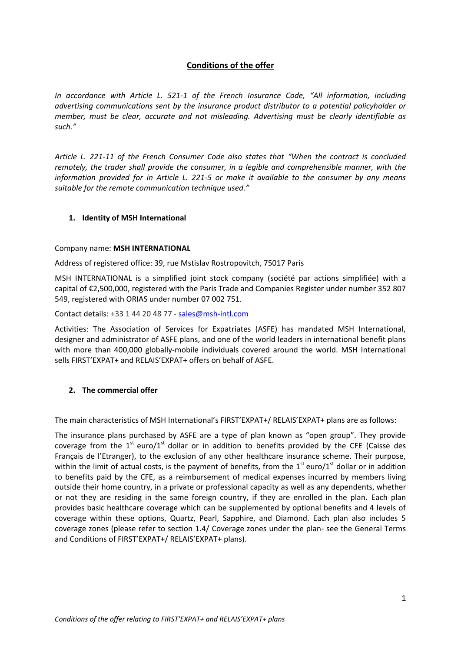# **Conditions of the offer**

*In accordance with Article L. 521-1 of the French Insurance Code, "All information, including advertising communications sent by the insurance product distributor to a potential policyholder or member, must be clear, accurate and not misleading. Advertising must be clearly identifiable as such."*

*Article L. 221-11 of the French Consumer Code also states that "When the contract is concluded remotely, the trader shall provide the consumer, in a legible and comprehensible manner, with the information provided for in Article L. 221-5 or make it available to the consumer by any means suitable for the remote communication technique used."*

## **1. Identity of MSH International**

#### Company name: **MSH INTERNATIONAL**

Address of registered office: 39, rue Mstislav Rostropovitch, 75017 Paris

MSH INTERNATIONAL is a simplified joint stock company (société par actions simplifiée) with a capital of €2,500,000, registered with the Paris Trade and Companies Register under number 352 807 549, registered with ORIAS under number 07 002 751.

Contact details: +33 1 44 20 48 77 - [sales@msh-intl.com](mailto:sales@msh-intl.com)

Activities: The Association of Services for Expatriates (ASFE) has mandated MSH International, designer and administrator of ASFE plans, and one of the world leaders in international benefit plans with more than 400,000 globally-mobile individuals covered around the world. MSH International sells FIRST'EXPAT+ and RELAIS'EXPAT+ offers on behalf of ASFE.

#### **2. The commercial offer**

The main characteristics of MSH International's FIRST'EXPAT+/ RELAIS'EXPAT+ plans are as follows:

The insurance plans purchased by ASFE are a type of plan known as "open group". They provide coverage from the  $1<sup>st</sup>$  euro/ $1<sup>st</sup>$  dollar or in addition to benefits provided by the CFE (Caisse des Français de l'Etranger), to the exclusion of any other healthcare insurance scheme. Their purpose, within the limit of actual costs, is the payment of benefits, from the  $1<sup>st</sup>$  euro/ $1<sup>st</sup>$  dollar or in addition to benefits paid by the CFE, as a reimbursement of medical expenses incurred by members living outside their home country, in a private or professional capacity as well as any dependents, whether or not they are residing in the same foreign country, if they are enrolled in the plan. Each plan provides basic healthcare coverage which can be supplemented by optional benefits and 4 levels of coverage within these options, Quartz, Pearl, Sapphire, and Diamond. Each plan also includes 5 coverage zones (please refer to section 1.4/ Coverage zones under the plan- see the General Terms and Conditions of FIRST'EXPAT+/ RELAIS'EXPAT+ plans).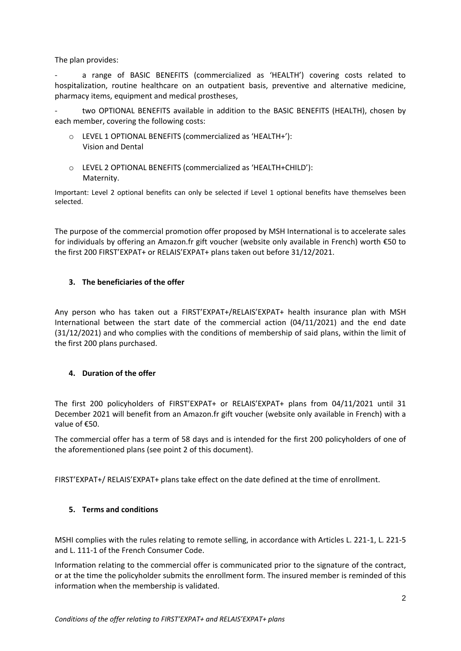The plan provides:

a range of BASIC BENEFITS (commercialized as 'HEALTH') covering costs related to hospitalization, routine healthcare on an outpatient basis, preventive and alternative medicine, pharmacy items, equipment and medical prostheses,

two OPTIONAL BENEFITS available in addition to the BASIC BENEFITS (HEALTH), chosen by each member, covering the following costs:

- o LEVEL 1 OPTIONAL BENEFITS (commercialized as 'HEALTH+'): Vision and Dental
- o LEVEL 2 OPTIONAL BENEFITS (commercialized as 'HEALTH+CHILD'): Maternity.

Important: Level 2 optional benefits can only be selected if Level 1 optional benefits have themselves been selected.

The purpose of the commercial promotion offer proposed by MSH International is to accelerate sales for individuals by offering an Amazon.fr gift voucher (website only available in French) worth €50 to the first 200 FIRST'EXPAT+ or RELAIS'EXPAT+ plans taken out before 31/12/2021.

## **3. The beneficiaries of the offer**

Any person who has taken out a FIRST'EXPAT+/RELAIS'EXPAT+ health insurance plan with MSH International between the start date of the commercial action (04/11/2021) and the end date (31/12/2021) and who complies with the conditions of membership of said plans, within the limit of the first 200 plans purchased.

# **4. Duration of the offer**

The first 200 policyholders of FIRST'EXPAT+ or RELAIS'EXPAT+ plans from 04/11/2021 until 31 December 2021 will benefit from an Amazon.fr gift voucher (website only available in French) with a value of €50.

The commercial offer has a term of 58 days and is intended for the first 200 policyholders of one of the aforementioned plans (see point 2 of this document).

FIRST'EXPAT+/ RELAIS'EXPAT+ plans take effect on the date defined at the time of enrollment.

#### **5. Terms and conditions**

MSHI complies with the rules relating to remote selling, in accordance with Articles L. 221-1, L. 221-5 and L. 111-1 of the French Consumer Code.

Information relating to the commercial offer is communicated prior to the signature of the contract, or at the time the policyholder submits the enrollment form. The insured member is reminded of this information when the membership is validated.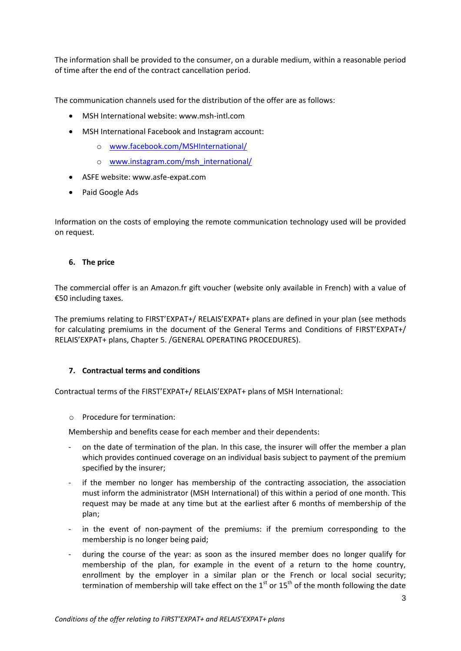The information shall be provided to the consumer, on a durable medium, within a reasonable period of time after the end of the contract cancellation period.

The communication channels used for the distribution of the offer are as follows:

- MSH International website: www.msh-intl.com
- MSH International Facebook and Instagram account:
	- o [www.facebook.com/MSHInternational/](http://www.facebook.com/MSHInternational/)
	- o [www.instagram.com/msh\\_international/](http://www.instagram.com/msh_international/)
- ASFE website: www.asfe-expat.com
- Paid Google Ads

Information on the costs of employing the remote communication technology used will be provided on request.

#### **6. The price**

The commercial offer is an Amazon.fr gift voucher (website only available in French) with a value of €50 including taxes.

The premiums relating to FIRST'EXPAT+/ RELAIS'EXPAT+ plans are defined in your plan (see methods for calculating premiums in the document of the General Terms and Conditions of FIRST'EXPAT+/ RELAIS'EXPAT+ plans, Chapter 5. /GENERAL OPERATING PROCEDURES).

#### **7. Contractual terms and conditions**

Contractual terms of the FIRST'EXPAT+/ RELAIS'EXPAT+ plans of MSH International:

#### o Procedure for termination:

Membership and benefits cease for each member and their dependents:

- on the date of termination of the plan. In this case, the insurer will offer the member a plan which provides continued coverage on an individual basis subject to payment of the premium specified by the insurer;
- if the member no longer has membership of the contracting association, the association must inform the administrator (MSH International) of this within a period of one month. This request may be made at any time but at the earliest after 6 months of membership of the plan;
- in the event of non-payment of the premiums: if the premium corresponding to the membership is no longer being paid;
- during the course of the year: as soon as the insured member does no longer qualify for membership of the plan, for example in the event of a return to the home country, enrollment by the employer in a similar plan or the French or local social security; termination of membership will take effect on the  $1<sup>st</sup>$  or  $15<sup>th</sup>$  of the month following the date